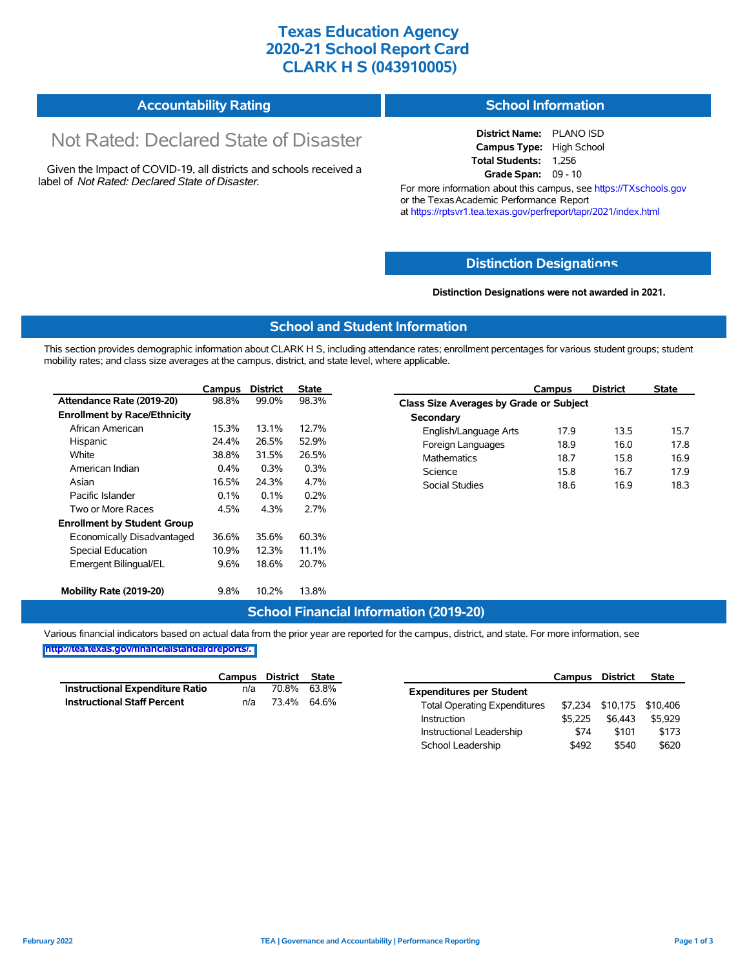## **Texas Education Agency 2020-21 School Report Card CLARK H S (043910005)**

#### **Accountability Rating School Information**

# Not Rated: Declared State of Disaster

Given the Impact of COVID-19, all districts and schools received a label of *Not Rated: Declared State of Disaster.*

#### **District Name:** PLANO ISD **Campus Type:** High School **Total Students:** 1,256 **Grade Span:** 09 - 10

For more information about this campus, see https://TXschools.gov or the Texas Academic Performance Report at https://rptsvr1.tea.texas.gov/perfreport/tapr/2021/index.html

### **Distinction Designat[ions](https://TXschools.gov)**

#### **Distinction Designations were not awarded in 2021.**

School Leadership  $$492$  \$540 \$620

### **School and Student Information**

This section provides demographic information about CLARK H S, including attendance rates; enrollment percentages for various student groups; student mobility rates; and class size averages at the campus, district, and state level, where applicable.

|                                     | Campus | <b>District</b> | <b>State</b> | <b>District</b><br>Campus               | <b>State</b> |
|-------------------------------------|--------|-----------------|--------------|-----------------------------------------|--------------|
| Attendance Rate (2019-20)           | 98.8%  | 99.0%           | 98.3%        | Class Size Averages by Grade or Subject |              |
| <b>Enrollment by Race/Ethnicity</b> |        |                 |              | Secondary                               |              |
| African American                    | 15.3%  | 13.1%           | 12.7%        | 13.5<br>English/Language Arts<br>17.9   | 15.7         |
| Hispanic                            | 24.4%  | 26.5%           | 52.9%        | 16.0<br>Foreign Languages<br>18.9       | 17.8         |
| White                               | 38.8%  | 31.5%           | 26.5%        | 15.8<br><b>Mathematics</b><br>18.7      | 16.9         |
| American Indian                     | 0.4%   | 0.3%            | 0.3%         | 16.7<br>Science<br>15.8                 | 17.9         |
| Asian                               | 16.5%  | 24.3%           | 4.7%         | <b>Social Studies</b><br>16.9<br>18.6   | 18.3         |
| Pacific Islander                    | 0.1%   | $0.1\%$         | 0.2%         |                                         |              |
| Two or More Races                   | 4.5%   | 4.3%            | 2.7%         |                                         |              |
| <b>Enrollment by Student Group</b>  |        |                 |              |                                         |              |
| Economically Disadvantaged          | 36.6%  | 35.6%           | 60.3%        |                                         |              |
| Special Education                   | 10.9%  | 12.3%           | 11.1%        |                                         |              |
| Emergent Bilingual/EL               | 9.6%   | 18.6%           | 20.7%        |                                         |              |
| Mobility Rate (2019-20)             | 9.8%   | 10.2%           | 13.8%        |                                         |              |

### **School Financial Information (2019-20)**

Various financial indicators based on actual data from the prior year are reported for the campus, district, and state. For more information, see

**[http://tea.texas.gov/financialstandardreports/.](http://tea.texas.gov/financialstandardreports/)**

|                                        | Campus | District | State       |                                     | Campus  | <b>District</b> | <b>State</b>              |
|----------------------------------------|--------|----------|-------------|-------------------------------------|---------|-----------------|---------------------------|
| <b>Instructional Expenditure Ratio</b> | n/a    | 70.8%    | 63.8%       | <b>Expenditures per Student</b>     |         |                 |                           |
| <b>Instructional Staff Percent</b>     | n/a    |          | 73.4% 64.6% | <b>Total Operating Expenditures</b> |         |                 | \$7,234 \$10,175 \$10,406 |
|                                        |        |          |             | Instruction                         | \$5.225 | \$6.443         | \$5,929                   |
|                                        |        |          |             | Instructional Leadership            | \$74    | \$101           | \$173                     |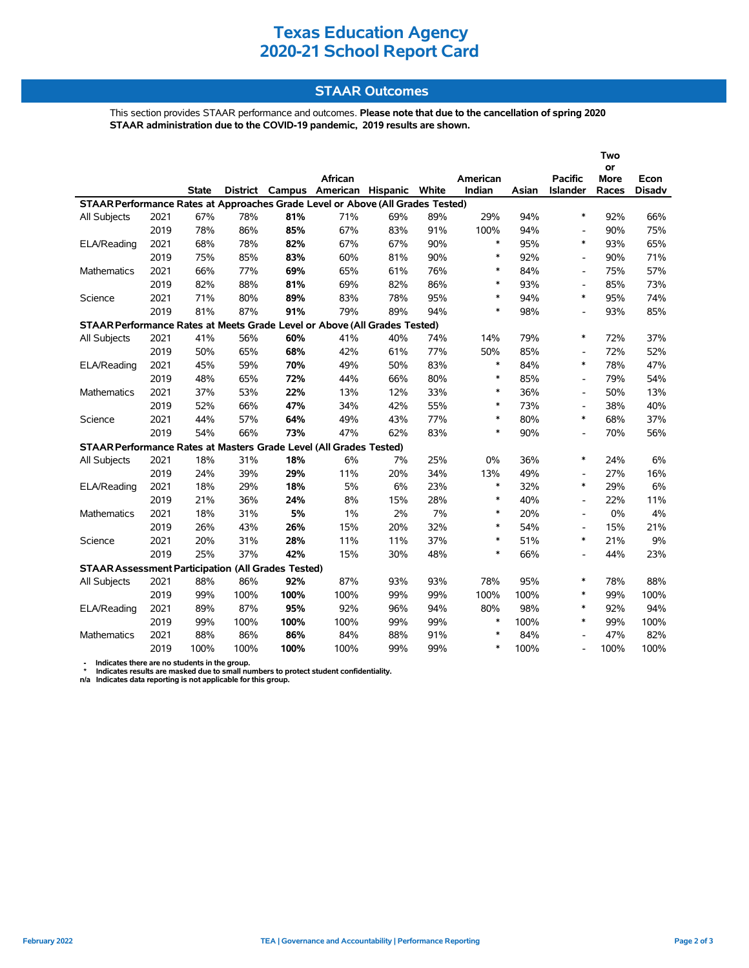## **Texas Education Agency 2020-21 School Report Card**

### **STAAR Outcomes**

This section provides STAAR performance and outcomes. **Please note that due to the cancellation of spring 2020 STAAR administration due to the COVID-19 pandemic, 2019 results are shown.**

|                                                                                                                     |      |              |      |      | African |     |       | American |       | <b>Pacific</b>           | or<br>More | Econ          |  |
|---------------------------------------------------------------------------------------------------------------------|------|--------------|------|------|---------|-----|-------|----------|-------|--------------------------|------------|---------------|--|
|                                                                                                                     |      | <b>State</b> |      |      |         |     | White | Indian   | Asian | Islander                 | Races      | <b>Disadv</b> |  |
| District Campus American Hispanic<br>STAAR Performance Rates at Approaches Grade Level or Above (All Grades Tested) |      |              |      |      |         |     |       |          |       |                          |            |               |  |
| All Subjects                                                                                                        | 2021 | 67%          | 78%  | 81%  | 71%     | 69% | 89%   | 29%      | 94%   | $\ast$                   | 92%        | 66%           |  |
|                                                                                                                     | 2019 | 78%          | 86%  | 85%  | 67%     | 83% | 91%   | 100%     | 94%   | ٠                        | 90%        | 75%           |  |
| ELA/Reading                                                                                                         | 2021 | 68%          | 78%  | 82%  | 67%     | 67% | 90%   | $\ast$   | 95%   | $\ast$                   | 93%        | 65%           |  |
|                                                                                                                     | 2019 | 75%          | 85%  | 83%  | 60%     | 81% | 90%   | $\ast$   | 92%   | $\blacksquare$           | 90%        | 71%           |  |
| <b>Mathematics</b>                                                                                                  | 2021 | 66%          | 77%  | 69%  | 65%     | 61% | 76%   | $\ast$   | 84%   | $\blacksquare$           | 75%        | 57%           |  |
|                                                                                                                     | 2019 | 82%          | 88%  | 81%  | 69%     | 82% | 86%   | $\ast$   | 93%   | ٠                        | 85%        | 73%           |  |
| Science                                                                                                             | 2021 | 71%          | 80%  | 89%  | 83%     | 78% | 95%   | $\ast$   | 94%   | $\ast$                   | 95%        | 74%           |  |
|                                                                                                                     | 2019 | 81%          | 87%  | 91%  | 79%     | 89% | 94%   | $\ast$   | 98%   | L,                       | 93%        | 85%           |  |
| STAAR Performance Rates at Meets Grade Level or Above (All Grades Tested)                                           |      |              |      |      |         |     |       |          |       |                          |            |               |  |
| All Subjects                                                                                                        | 2021 | 41%          | 56%  | 60%  | 41%     | 40% | 74%   | 14%      | 79%   | $\ast$                   | 72%        | 37%           |  |
|                                                                                                                     | 2019 | 50%          | 65%  | 68%  | 42%     | 61% | 77%   | 50%      | 85%   | $\overline{\phantom{a}}$ | 72%        | 52%           |  |
| ELA/Reading                                                                                                         | 2021 | 45%          | 59%  | 70%  | 49%     | 50% | 83%   | $\ast$   | 84%   | $\ast$                   | 78%        | 47%           |  |
|                                                                                                                     | 2019 | 48%          | 65%  | 72%  | 44%     | 66% | 80%   | $\ast$   | 85%   | $\overline{\phantom{a}}$ | 79%        | 54%           |  |
| Mathematics                                                                                                         | 2021 | 37%          | 53%  | 22%  | 13%     | 12% | 33%   | $\ast$   | 36%   | $\overline{\phantom{a}}$ | 50%        | 13%           |  |
|                                                                                                                     | 2019 | 52%          | 66%  | 47%  | 34%     | 42% | 55%   | $\ast$   | 73%   | $\overline{\phantom{a}}$ | 38%        | 40%           |  |
| Science                                                                                                             | 2021 | 44%          | 57%  | 64%  | 49%     | 43% | 77%   | $\ast$   | 80%   | $\ast$                   | 68%        | 37%           |  |
|                                                                                                                     | 2019 | 54%          | 66%  | 73%  | 47%     | 62% | 83%   | $\ast$   | 90%   | $\blacksquare$           | 70%        | 56%           |  |
| STAAR Performance Rates at Masters Grade Level (All Grades Tested)                                                  |      |              |      |      |         |     |       |          |       |                          |            |               |  |
| All Subjects                                                                                                        | 2021 | 18%          | 31%  | 18%  | 6%      | 7%  | 25%   | 0%       | 36%   | $\ast$                   | 24%        | 6%            |  |
|                                                                                                                     | 2019 | 24%          | 39%  | 29%  | 11%     | 20% | 34%   | 13%      | 49%   | $\blacksquare$           | 27%        | 16%           |  |
| ELA/Reading                                                                                                         | 2021 | 18%          | 29%  | 18%  | 5%      | 6%  | 23%   | $\ast$   | 32%   | $\ast$                   | 29%        | 6%            |  |
|                                                                                                                     | 2019 | 21%          | 36%  | 24%  | 8%      | 15% | 28%   | $\ast$   | 40%   | $\overline{a}$           | 22%        | 11%           |  |
| <b>Mathematics</b>                                                                                                  | 2021 | 18%          | 31%  | 5%   | 1%      | 2%  | 7%    | $\ast$   | 20%   | $\blacksquare$           | 0%         | 4%            |  |
|                                                                                                                     | 2019 | 26%          | 43%  | 26%  | 15%     | 20% | 32%   | $\ast$   | 54%   | $\blacksquare$           | 15%        | 21%           |  |
| Science                                                                                                             | 2021 | 20%          | 31%  | 28%  | 11%     | 11% | 37%   | $\ast$   | 51%   | $\ast$                   | 21%        | 9%            |  |
|                                                                                                                     | 2019 | 25%          | 37%  | 42%  | 15%     | 30% | 48%   | $\ast$   | 66%   | ٠                        | 44%        | 23%           |  |
| <b>STAAR Assessment Participation (All Grades Tested)</b>                                                           |      |              |      |      |         |     |       |          |       |                          |            |               |  |
| All Subjects                                                                                                        | 2021 | 88%          | 86%  | 92%  | 87%     | 93% | 93%   | 78%      | 95%   | $\ast$                   | 78%        | 88%           |  |
|                                                                                                                     | 2019 | 99%          | 100% | 100% | 100%    | 99% | 99%   | 100%     | 100%  | $\ast$                   | 99%        | 100%          |  |
| ELA/Reading                                                                                                         | 2021 | 89%          | 87%  | 95%  | 92%     | 96% | 94%   | 80%      | 98%   | $\ast$                   | 92%        | 94%           |  |
|                                                                                                                     | 2019 | 99%          | 100% | 100% | 100%    | 99% | 99%   | $\ast$   | 100%  | $\ast$                   | 99%        | 100%          |  |
| <b>Mathematics</b>                                                                                                  | 2021 | 88%          | 86%  | 86%  | 84%     | 88% | 91%   | $\ast$   | 84%   |                          | 47%        | 82%           |  |
|                                                                                                                     | 2019 | 100%         | 100% | 100% | 100%    | 99% | 99%   | $\ast$   | 100%  |                          | 100%       | 100%          |  |

- Indicates there are no students in the group.<br>\* Indicates results are masked due to small numbers to protect student confidentiality.<br>n/a Indicates data reporting is not applicable for this group.

**Two**